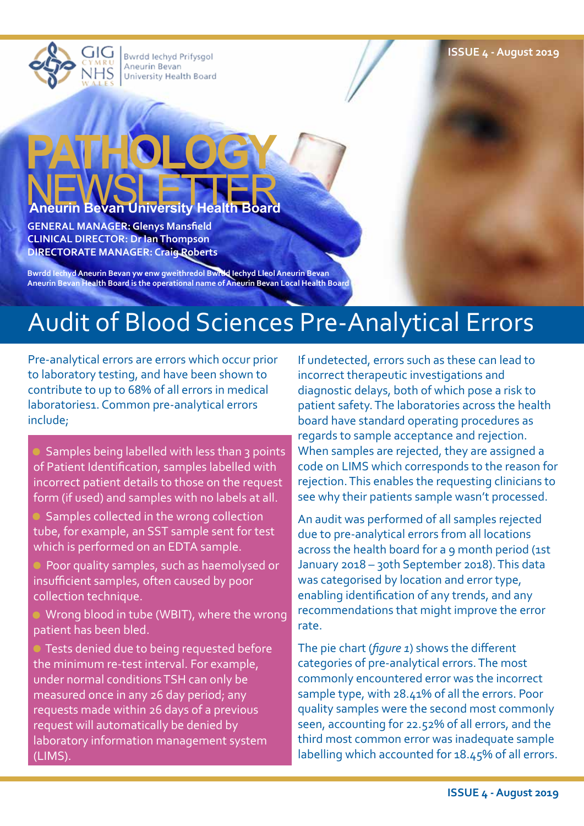**ISSUE 4 - August 2019**

Bwrdd lechyd Prifysgol Aneurin Bevan University Health Board

## **PATHOLOGY Bevan University Health Board**

**GENERAL MANAGER: Glenys Mansfield CLINICAL DIRECTOR: Dr Ian Thompson DIRECTORATE MANAGER: Craig Roberts**

**Bwrdd Iechyd Aneurin Bevan yw enw gweithredol Bwrdd Iechyd Lleol Aneurin Bevan Aneurin Bevan Health Board is the operational name of Aneurin Bevan Local Health Board**

### Audit of Blood Sciences Pre-Analytical Errors

Pre-analytical errors are errors which occur prior to laboratory testing, and have been shown to contribute to up to 68% of all errors in medical laboratories1. Common pre-analytical errors include;

 Samples being labelled with less than 3 points of Patient Identification, samples labelled with incorrect patient details to those on the request form (if used) and samples with no labels at all.

 Samples collected in the wrong collection tube, for example, an SST sample sent for test which is performed on an EDTA sample.

 Poor quality samples, such as haemolysed or insufficient samples, often caused by poor collection technique.

 Wrong blood in tube (WBIT), where the wrong patient has been bled.

 Tests denied due to being requested before the minimum re-test interval. For example, under normal conditions TSH can only be measured once in any 26 day period; any requests made within 26 days of a previous request will automatically be denied by laboratory information management system (LIMS).

If undetected, errors such as these can lead to incorrect therapeutic investigations and diagnostic delays, both of which pose a risk to patient safety. The laboratories across the health board have standard operating procedures as regards to sample acceptance and rejection. When samples are rejected, they are assigned a code on LIMS which corresponds to the reason for rejection. This enables the requesting clinicians to see why their patients sample wasn't processed.

An audit was performed of all samples rejected due to pre-analytical errors from all locations across the health board for a 9 month period (1st January 2018 – 30th September 2018). This data was categorised by location and error type, enabling identification of any trends, and any recommendations that might improve the error rate.

The pie chart (*figure 1*) shows the different categories of pre-analytical errors. The most commonly encountered error was the incorrect sample type, with 28.41% of all the errors. Poor quality samples were the second most commonly seen, accounting for 22.52% of all errors, and the third most common error was inadequate sample labelling which accounted for 18.45% of all errors.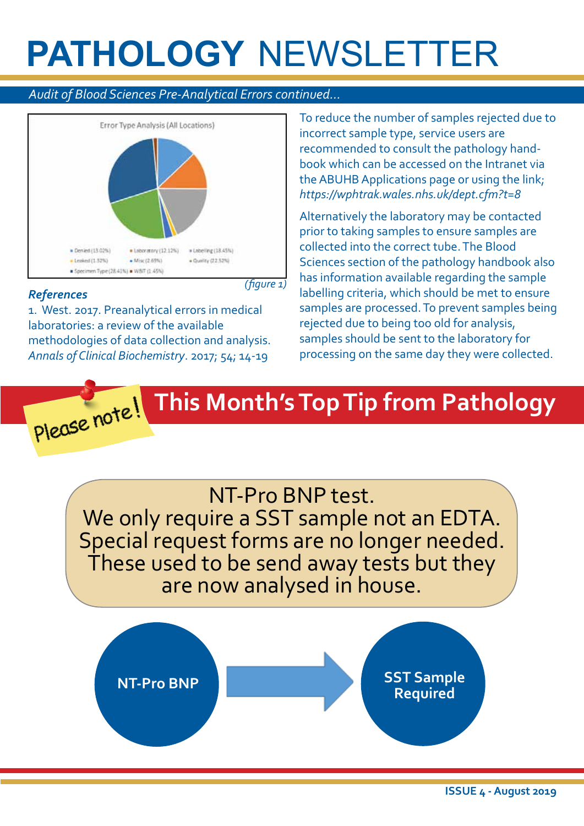#### *Audit of Blood Sciences Pre-Analytical Errors continued...*



#### *References*

1. West. 2017. Preanalytical errors in medical laboratories: a review of the available methodologies of data collection and analysis. *Annals of Clinical Biochemistry*. 2017; 54; 14-19

To reduce the number of samples rejected due to incorrect sample type, service users are recommended to consult the pathology handbook which can be accessed on the Intranet via the ABUHB Applications page or using the link; *https://wphtrak.wales.nhs.uk/dept.cfm?t=8*

Alternatively the laboratory may be contacted prior to taking samples to ensure samples are collected into the correct tube. The Blood Sciences section of the pathology handbook also has information available regarding the sample labelling criteria, which should be met to ensure samples are processed. To prevent samples being rejected due to being too old for analysis, samples should be sent to the laboratory for processing on the same day they were collected.



NT-Pro BNP test. We only require a SST sample not an EDTA. Special request forms are no longer needed. These used to be send away tests but they are now analysed in house.

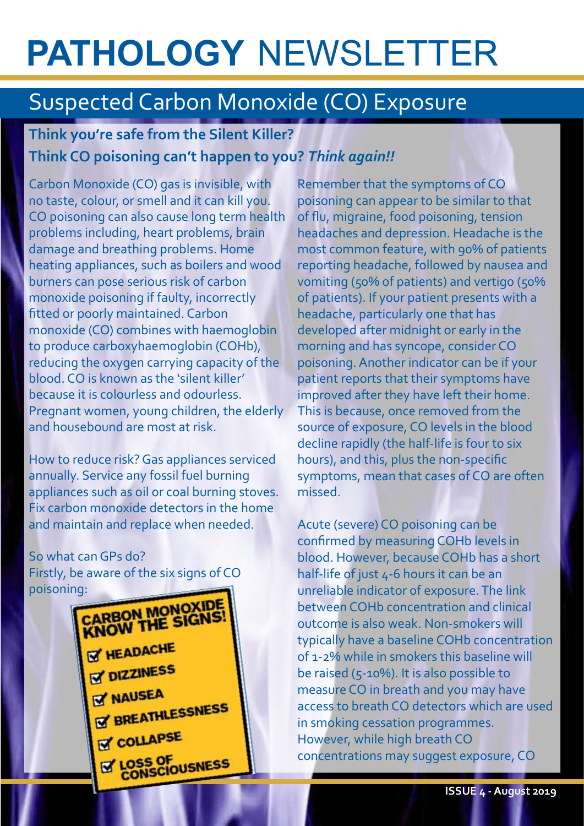### Suspected Carbon Monoxide (CO) Exposure

### **Think you're safe from the Silent Killer? Think CO poisoning can't happen to you?** *Think again!!*

Carbon Monoxide (CO) gas is invisible, with no taste, colour, or smell and it can kill you. CO poisoning can also cause long term health problems including, heart problems, brain damage and breathing problems. Home heating appliances, such as boilers and wood burners can pose serious risk of carbon monoxide poisoning if faulty, incorrectly fitted or poorly maintained. Carbon monoxide (CO) combines with haemoglobin to produce carboxyhaemoglobin (COHb), reducing the oxygen carrying capacity of the blood. CO is known as the 'silent killer' because it is colourless and odourless. Pregnant women, young children, the elderly and housebound are most at risk.

How to reduce risk? Gas appliances serviced annually. Service any fossil fuel burning appliances such as oil or coal burning stoves. Fix carbon monoxide detectors in the home and maintain and replace when needed.

So what can GPs do? Firstly, be aware of the six signs of CO



Remember that the symptoms of CO poisoning can appear to be similar to that of flu, migraine, food poisoning, tension headaches and depression. Headache is the most common feature, with 90% of patients reporting headache, followed by nausea and vomiting (50% of patients) and vertigo (50% of patients). If your patient presents with a headache, particularly one that has developed after midnight or early in the morning and has syncope, consider CO poisoning. Another indicator can be if your patient reports that their symptoms have improved after they have left their home. This is because, once removed from the source of exposure, CO levels in the blood decline rapidly (the half-life is four to six hours), and this, plus the non-specific symptoms, mean that cases of CO are often missed.

Acute (severe) CO poisoning can be confirmed by measuring COHb levels in blood. However, because COHb has a short half-life of just 4-6 hours it can be an unreliable indicator of exposure. The link between COHb concentration and clinical outcome is also weak. Non-smokers will typically have a baseline COHb concentration of 1-2% while in smokers this baseline will be raised (5-10%). It is also possible to measure CO in breath and you may have access to breath CO detectors which are used in smoking cessation programmes. However, while high breath CO concentrations may suggest exposure, CO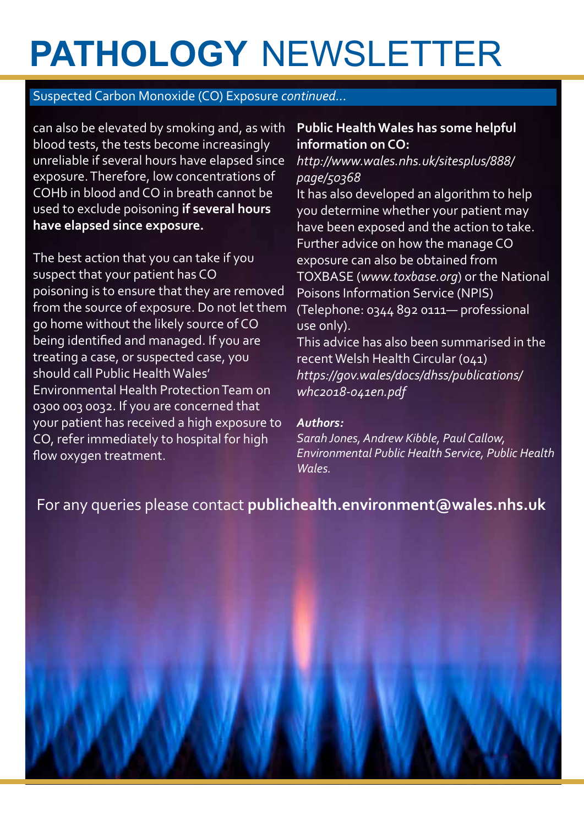#### Suspected Carbon Monoxide (CO) Exposure *continued...*

can also be elevated by smoking and, as with blood tests, the tests become increasingly unreliable if several hours have elapsed since exposure. Therefore, low concentrations of COHb in blood and CO in breath cannot be used to exclude poisoning **if several hours have elapsed since exposure.**

The best action that you can take if you suspect that your patient has CO poisoning is to ensure that they are removed from the source of exposure. Do not let them go home without the likely source of CO being identified and managed. If you are treating a case, or suspected case, you should call Public Health Wales' Environmental Health Protection Team on 0300 003 0032. If you are concerned that your patient has received a high exposure to CO, refer immediately to hospital for high flow oxygen treatment.

#### **Public Health Wales has some helpful information on CO:**

*http://www.wales.nhs.uk/sitesplus/888/ page/50368*

It has also developed an algorithm to help you determine whether your patient may have been exposed and the action to take. Further advice on how the manage CO exposure can also be obtained from TOXBASE (*www.toxbase.org*) or the National Poisons Information Service (NPIS) (Telephone: 0344 892 0111— professional use only).

This advice has also been summarised in the recent Welsh Health Circular (041) *https://gov.wales/docs/dhss/publications/ whc2018-041en.pdf*

#### *Authors:*

*Sarah Jones, Andrew Kibble, Paul Callow, Environmental Public Health Service, Public Health Wales.* 

For any queries please contact **publichealth.environment@wales.nhs.uk**

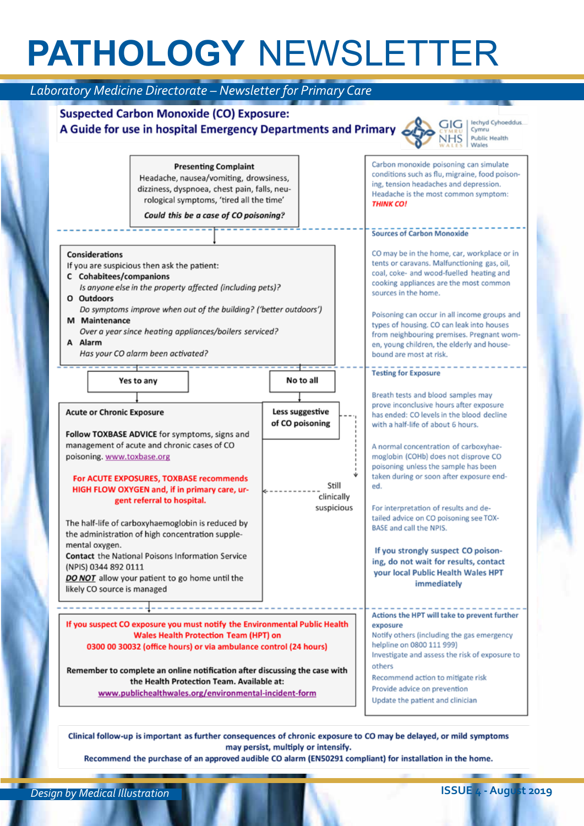| Laboratory Medicine Directorate - Newsletter for Primary Care                                                                                                                                                                                                                                                                                                                                                                                                                                                                                                                                         |                                                 |                                   |                                                                                                                                                                                                                                                                                                                                                                                                                                                                                                                                                                                                                               |  |
|-------------------------------------------------------------------------------------------------------------------------------------------------------------------------------------------------------------------------------------------------------------------------------------------------------------------------------------------------------------------------------------------------------------------------------------------------------------------------------------------------------------------------------------------------------------------------------------------------------|-------------------------------------------------|-----------------------------------|-------------------------------------------------------------------------------------------------------------------------------------------------------------------------------------------------------------------------------------------------------------------------------------------------------------------------------------------------------------------------------------------------------------------------------------------------------------------------------------------------------------------------------------------------------------------------------------------------------------------------------|--|
| <b>Suspected Carbon Monoxide (CO) Exposure:</b><br>A Guide for use in hospital Emergency Departments and Primary                                                                                                                                                                                                                                                                                                                                                                                                                                                                                      |                                                 |                                   | lechyd Cyhoeddus.<br>Cymru<br><b>Public Health</b><br>Wales                                                                                                                                                                                                                                                                                                                                                                                                                                                                                                                                                                   |  |
| <b>Presenting Complaint</b><br>Headache, nausea/vomiting, drowsiness,<br>dizziness, dyspnoea, chest pain, falls, neu-<br>rological symptoms, 'tired all the time'<br>Could this be a case of CO poisoning?                                                                                                                                                                                                                                                                                                                                                                                            |                                                 |                                   | Carbon monoxide poisoning can simulate<br>conditions such as flu, migraine, food poison-<br>ing, tension headaches and depression.<br>Headache is the most common symptom:<br><b>THINK CO!</b>                                                                                                                                                                                                                                                                                                                                                                                                                                |  |
| Considerations<br>If you are suspicious then ask the patient:<br>C Cohabitees/companions<br>Is anyone else in the property affected (including pets)?<br>O Outdoors<br>Do symptoms improve when out of the building? ('better outdoors')<br>M Maintenance<br>Over a year since heating appliances/boilers serviced?<br>A Alarm<br>Has your CO alarm been activated?                                                                                                                                                                                                                                   |                                                 |                                   | <b>Sources of Carbon Monoxide</b><br>CO may be in the home, car, workplace or in<br>tents or caravans. Malfunctioning gas, oil,<br>coal, coke- and wood-fuelled heating and<br>cooking appliances are the most common<br>sources in the home.<br>Poisoning can occur in all income groups and<br>types of housing. CO can leak into houses<br>from neighbouring premises. Pregnant wom-<br>en, young children, the elderly and house-<br>bound are most at risk.                                                                                                                                                              |  |
| Yes to any<br><b>Acute or Chronic Exposure</b><br>Follow TOXBASE ADVICE for symptoms, signs and<br>management of acute and chronic cases of CO<br>poisoning. www.toxbase.org<br>For ACUTE EXPOSURES, TOXBASE recommends<br>HIGH FLOW OXYGEN and, if in primary care, ur-<br>gent referral to hospital.<br>The half-life of carboxyhaemoglobin is reduced by<br>the administration of high concentration supple-<br>mental oxygen.<br><b>Contact</b> the National Poisons Information Service<br>(NPIS) 0344 892 0111<br>DO NOT allow your patient to go home until the<br>likely CO source is managed | No to all<br>Less suggestive<br>of CO poisoning | Still<br>clinically<br>suspicious | <b>Testing for Exposure</b><br>Breath tests and blood samples may<br>prove inconclusive hours after exposure<br>has ended: CO levels in the blood decline<br>with a half-life of about 6 hours.<br>A normal concentration of carboxyhae-<br>moglobin (COHb) does not disprove CO<br>poisoning unless the sample has been<br>taken during or soon after exposure end-<br>ed.<br>For interpretation of results and de-<br>tailed advice on CO poisoning see TOX-<br>BASE and call the NPIS.<br>If you strongly suspect CO poison-<br>ing, do not wait for results, contact<br>your local Public Health Wales HPT<br>immediately |  |
| If you suspect CO exposure you must notify the Environmental Public Health<br><b>Wales Health Protection Team (HPT) on</b><br>0300 00 30032 (office hours) or via ambulance control (24 hours)<br>Remember to complete an online notification after discussing the case with<br>the Health Protection Team. Available at:<br>www.publichealthwales.org/environmental-incident-form                                                                                                                                                                                                                    |                                                 |                                   | Actions the HPT will take to prevent further<br>exposure<br>Notify others (including the gas emergency<br>helpline on 0800 111 999)<br>Investigate and assess the risk of exposure to<br>others<br>Recommend action to mitigate risk<br>Provide advice on prevention<br>Update the patient and clinician                                                                                                                                                                                                                                                                                                                      |  |

Clinical follow-up is important as further consequences of chronic exposure to CO may be delayed, or mild symptoms may persist, multiply or intensify.

Recommend the purchase of an approved audible CO alarm (EN50291 compliant) for installation in the home.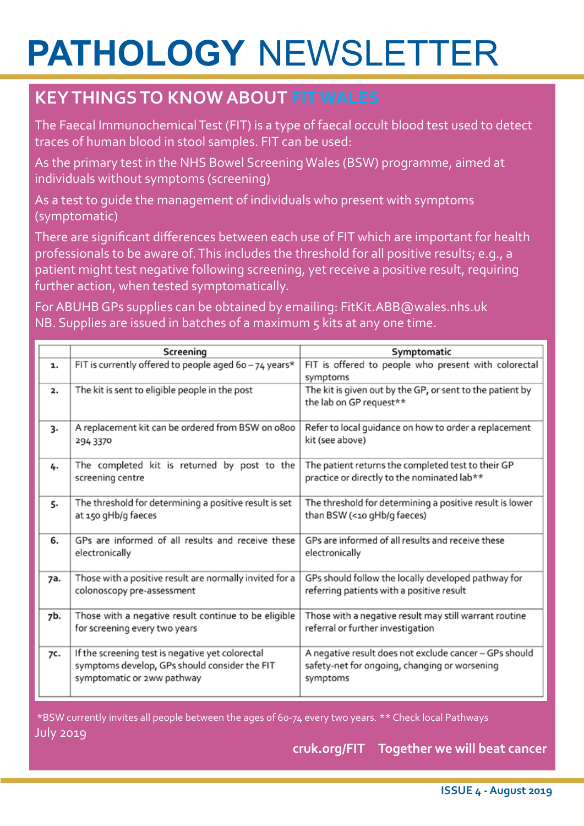### **KEY THINGS TO KNOW ABOUT FIT WALES**

The Faecal Immunochemical Test (FIT) is a type of faecal occult blood test used to detect traces of human blood in stool samples. FIT can be used:

As the primary test in the NHS Bowel Screening Wales (BSW) programme, aimed at individuals without symptoms (screening)

As a test to guide the management of individuals who present with symptoms (symptomatic)

There are significant differences between each use of FIT which are important for health professionals to be aware of. This includes the threshold for all positive results; e.g., a patient might test negative following screening, yet receive a positive result, requiring further action, when tested symptomatically.

For ABUHB GPs supplies can be obtained by emailing: FitKit.ABB@wales.nhs.uk NB. Supplies are issued in batches of a maximum 5 kits at any one time.

|     | Screening                                                                                                                       | Symptomatic                                                                                                         |  |
|-----|---------------------------------------------------------------------------------------------------------------------------------|---------------------------------------------------------------------------------------------------------------------|--|
| 1.  | FIT is currently offered to people aged 6o - 74 years*                                                                          | FIT is offered to people who present with colorectal<br>symptoms                                                    |  |
| 2.  | The kit is sent to eligible people in the post                                                                                  | The kit is given out by the GP, or sent to the patient by<br>the lab on GP request**                                |  |
| 3.  | A replacement kit can be ordered from BSW on 0800<br>294 3370                                                                   | Refer to local guidance on how to order a replacement<br>kit (see above)                                            |  |
| 4.  | The completed kit is returned by post to the<br>screening centre                                                                | The patient returns the completed test to their GP<br>practice or directly to the nominated lab**                   |  |
| 5.  | The threshold for determining a positive result is set<br>at 150 gHb/g faeces                                                   | The threshold for determining a positive result is lower<br>than BSW (<10 gHb/g faeces)                             |  |
| 6.  | GPs are informed of all results and receive these<br>electronically                                                             | GPs are informed of all results and receive these<br>electronically                                                 |  |
| 7a. | Those with a positive result are normally invited for a<br>colonoscopy pre-assessment                                           | GPs should follow the locally developed pathway for<br>referring patients with a positive result                    |  |
| 7b. | Those with a negative result continue to be eligible<br>for screening every two years                                           | Those with a negative result may still warrant routine<br>referral or further investigation                         |  |
| 7C. | If the screening test is negative yet colorectal<br>symptoms develop, GPs should consider the FIT<br>symptomatic or 2ww pathway | A negative result does not exclude cancer - GPs should<br>safety-net for ongoing, changing or worsening<br>symptoms |  |

 \*BSW currently invites all people between the ages of 60-74 every two years. \*\* Check local Pathways July 2019

**cruk.org/FIT Together we will beat cancer**